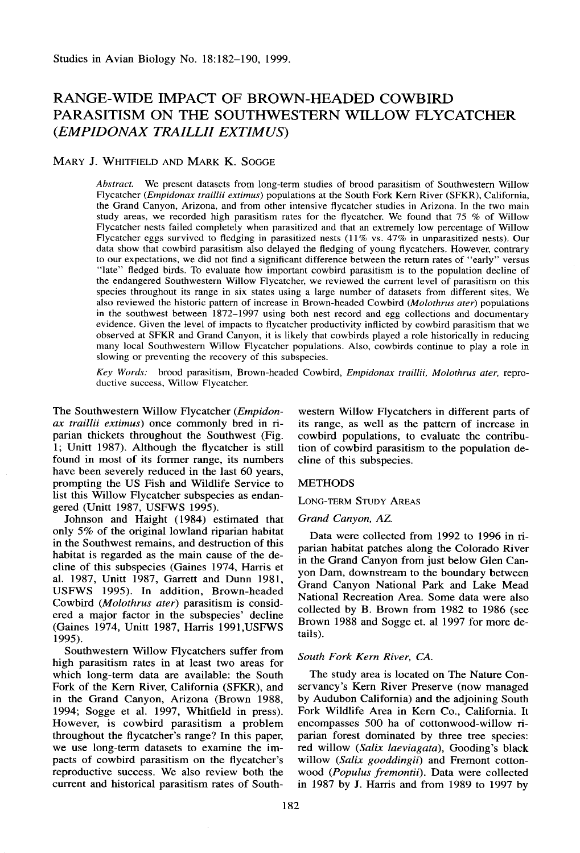# **RANGE-WIDE IMPACT OF BROWN-HEADED COWBIRD PARASITISM ON THE SOUTHWESTERN WILLOW FLYCATCHER (EMPIDONAX TRAILLII EXTIMUS)**

# **MARY J. WHITFIELD AND MARK K. SOGGE**

**Abstract. We present datasets from long-term studies of brood parasitism of Southwestern Willow Flycatcher (Empidonax traillii extimus) populations at the South Fork Kern River (SFKR), California, the Grand Canyon, Arizona, and from other intensive flycatcher studies in Arizona. In the two main study areas, we recorded high parasitism rates for the flycatcher. We found that 75 % of Willow Flycatcher nests failed completely when parasitized and that an extremely low percentage of Willow Flycatcher eggs survived to fledging in parasitized nests (11% vs. 47% in unparasitized nests). Our data show that cowbird parasitism also delayed the fledging of young flycatchers. However, contrary to our expectations, we did not find a significant difference between the return rates of "early" versus "late" fledged birds. To evaluate how important cowbird parasitism is to the population decline of the endangered Southwestern Willow Flycatcher, we reviewed the current level of parasitism on this species throughout its range in six states using a large number of datasets from different sites. We**  also reviewed the historic pattern of increase in Brown-headed Cowbird (Molothrus ater) populations **in the southwest between 1872-1997 using both nest record and egg collections and documentary evidence. Given the level of impacts to flycatcher productivity inflicted by cowbird parasitism that we observed at SFKR and Grand Canyon, it is likely that cowbirds played a role historically in reducing many local Southwestern Willow Flycatcher populations. Also, cowbirds continue to play a role in slowing or preventing the recovery of this subspecies.** 

**Key Words: brood parasitism, Brown-headed Cowbird, Empidonax rraillii, Molothrus ater, reproductive success, Willow Flycatcher.** 

The Southwestern Willow Flycatcher (Empidon**ax traillii extimus) once commonly bred in riparian thickets throughout the Southwest (Fig. 1; Unitt 1987). Although the flycatcher is still found in most of its former range, its numbers have been severely reduced in the last 60 years, prompting the US Fish and Wildlife Service to list this Willow Flycatcher subspecies as endangered (Unitt 1987, USFWS 1995).** 

**Johnson and Haight (1984) estimated that only 5% of the original lowland riparian habitat in the Southwest remains, and destruction of this habitat is regarded as the main cause of the decline of this subspecies (Gaines 1974, Harris et al. 1987, Unitt 1987, Garrett and Dunn 1981, USFWS 1995). In addition, Brown-headed Cowbird (Molothrus ater) parasitism is considered a major factor in the subspecies' decline (Gaines 1974, Unitt 1987, Harris 1991,USFWS 1995).** 

**Southwestern Willow Flycatchers suffer from high parasitism rates in at least two areas for which long-term data are available: the South Fork of the Kern River, California (SFKR), and in the Grand Canyon, Arizona (Brown 1988, 1994; Sogge et al. 1997, Whitfield in press). However, is cowbird parasitism a problem**  throughout the flycatcher's range? In this paper, **we use long-term datasets to examine the im**pacts of cowbird parasitism on the flycatcher's **reproductive success. We also review both the current and historical parasitism rates of South-** **western Willow Flycatchers in different parts of its range, as well as the pattern of increase in cowbird populations, to evaluate the contribution of cowbird parasitism to the population decline of this subspecies.** 

#### **METHODS**

## **LONG-TERM STUDY AREAS**

## **Grand Canyon, AZ.**

**Data were collected from 1992 to 1996 in riparian habitat patches along the Colorado River in the Grand Canyon from just below Glen Canyon Dam, downstream to the boundary between Grand Canyon National Park and Lake Mead National Recreation Area. Some data were also collected by B. Brown from 1982 to 1986 (see Brown 1988 and Sogge et. al 1997 for more details).** 

#### **South Fork Kern River, CA.**

**The study area is located on The Nature Conservancys ' Kern River Preserve (now managed by Audubon California) and the adjoining South Fork Wildlife Area in Kern Co., California. It encompasses 500 ha of cottonwood-willow riparian forest dominated by three tree species: red willow** (Salix laeviagata), Gooding's black willow (Salix gooddingii) and Fremont cotton**wood (Populus fremontii). Data were collected in 1987 by J. Harris and from 1989 to 1997 by**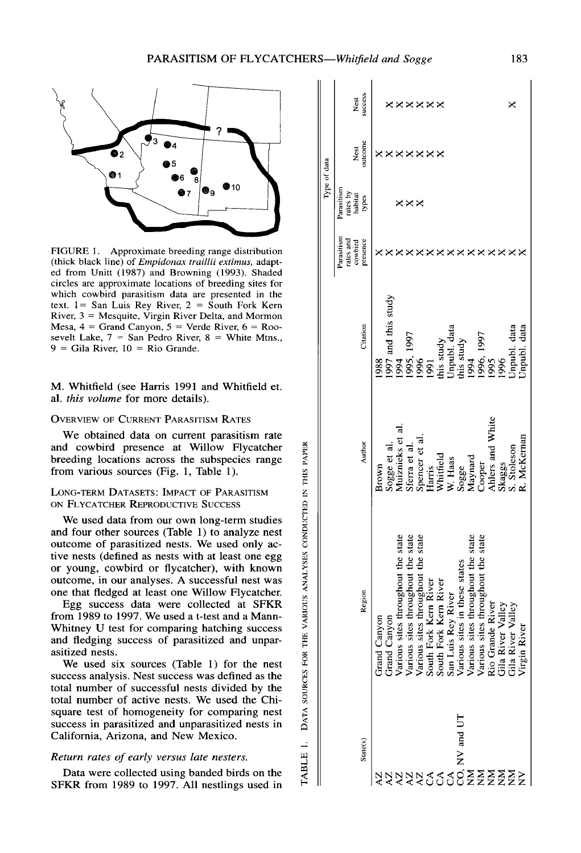**PAPER** 

IN THIS

ANALYSES CONDUCTED

**VARIOUS** 

Ë FOR

**SOURCES** 

DATA 3

 $\overline{a}$ TABLE



**FIGURE 1. Approximate breeding range distribution (thick black line) of Empidonax traillii extimus, adapted from Unitt (1987) and Browning (1993). Shaded circles are approximate locations of breeding sites for which cowbird parasitism data are presented in the text. l= San Luis Rey River, 2 = South Fork Kern River, 3 = Mesquite, Virgin River Delta, and Mormon Mesa, 4 = Grand Canyon, 5 = Verde River, 6 = Roosevelt Lake, 7 = San Pedro River, 8 = White Mtns., 9 = Gila River, 10 = Rio Grande.** 

# **M. Whitfield (see Harris 1991 and Whitfield et. al. this volume for more details).**

## **OVERVIEW OF CURRENT PARASITISM RATES**

**We obtained data on current parasitism rate and cowbird presence at Willow Flycatcher breeding locations across the subspecies range from various sources (Fig. 1, Table 1).** 

# **LONG-TERM DATASETS: IMPACT OF PARASITISM ON FLYCATCHER REPRODUCTIVE SUCCESS**

**We used data from our own long-term studies and four other sources (Table 1) to analyze nest outcome of parasitized nests. We used only active nests (defined as nests with at least one egg or young, cowbird or flycatcher), with known outcome, in our analyses. A successful nest was one that fledged at least one Willow Flycatcher.** 

**Egg success data were collected at SFKR from 1989 to 1997. We used a t-test and a Mann-Whitney U test for comparing hatching success and fledging success of parasitized and unparasitized nests.** 

**We used six sources (Table 1) for the nest success analysis. Nest success was defined as the total number of successful nests divided by the total number of active nests. We used the Chisquare test of homogeneity for comparing nest success in parasitized and unparasitized nests in California, Arizona, and New Mexico.** 

# **Return rates of early versus late nesters.**

**Data were collected using banded birds on the SFKR from 1989 to 1997. All nestlings used in** 

|                                                         |                                                                                                                                                                                                                                                     |                                 |                                                                                                                                   |                                                |                                            | Type of data   |                 |
|---------------------------------------------------------|-----------------------------------------------------------------------------------------------------------------------------------------------------------------------------------------------------------------------------------------------------|---------------------------------|-----------------------------------------------------------------------------------------------------------------------------------|------------------------------------------------|--------------------------------------------|----------------|-----------------|
| State(s)                                                | Region                                                                                                                                                                                                                                              | Author                          | Citation                                                                                                                          | Parasitism<br>presence<br>rates and<br>cowbird | Parasitism<br>rates by<br>habitat<br>types | aucome<br>Nest | success<br>Nest |
|                                                         | Grand Canyon                                                                                                                                                                                                                                        | Brown                           | 988                                                                                                                               |                                                |                                            |                |                 |
|                                                         |                                                                                                                                                                                                                                                     |                                 |                                                                                                                                   |                                                |                                            |                |                 |
|                                                         |                                                                                                                                                                                                                                                     | ogge et al.<br>Iuiznieks et al. |                                                                                                                                   |                                                |                                            |                |                 |
| 222223                                                  |                                                                                                                                                                                                                                                     | Sferra et al.                   |                                                                                                                                   |                                                |                                            |                | ×               |
|                                                         |                                                                                                                                                                                                                                                     | spencer et al                   |                                                                                                                                   |                                                | ×                                          |                |                 |
|                                                         |                                                                                                                                                                                                                                                     |                                 |                                                                                                                                   |                                                |                                            |                |                 |
|                                                         |                                                                                                                                                                                                                                                     | Harris<br>Whitfield<br>W Haas   |                                                                                                                                   |                                                |                                            |                |                 |
|                                                         |                                                                                                                                                                                                                                                     |                                 |                                                                                                                                   |                                                |                                            |                |                 |
| CA<br>CA<br>CO, NV and UT<br>NMM<br>NMM<br>NMMM<br>NNMM | Grand Canyon<br>Various sites throughout the state<br>Various sites throughout the state<br>Various sites throughout the state<br>Various sites throughout the state<br>South Fork Kern River<br>San Luis Rey River<br>Various sites in these state |                                 | 1997 and this study<br>1994<br>1995, 1997<br>1996<br>1996<br>this study<br>this study<br>this study<br>1994<br>1995, 1997<br>1995 |                                                |                                            |                |                 |
|                                                         |                                                                                                                                                                                                                                                     | Sogge<br>Maynard                |                                                                                                                                   |                                                |                                            |                |                 |
|                                                         |                                                                                                                                                                                                                                                     | Cooper                          |                                                                                                                                   |                                                |                                            |                |                 |
|                                                         |                                                                                                                                                                                                                                                     | Ahlers and White                |                                                                                                                                   |                                                |                                            |                |                 |
|                                                         | Rio Grande River<br>Gila River Valley<br>Gila River Valley                                                                                                                                                                                          | skaggs                          | 1996                                                                                                                              |                                                |                                            |                |                 |
|                                                         |                                                                                                                                                                                                                                                     |                                 |                                                                                                                                   |                                                |                                            |                |                 |
|                                                         | Virgin River                                                                                                                                                                                                                                        | S. Siõleson<br>McKernan         | Unpubl. data<br>Unpubl. data                                                                                                      |                                                |                                            |                |                 |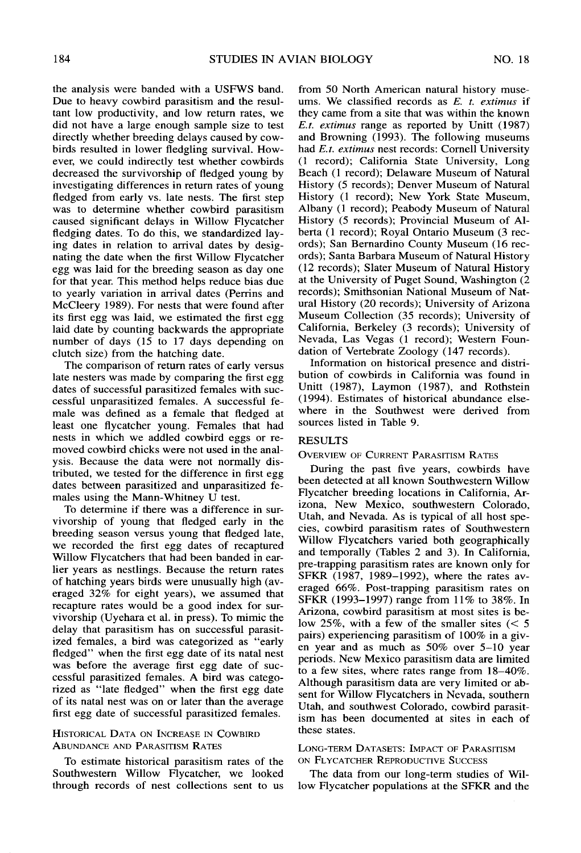**the analysis were handed with a USFWS band. Due to heavy cowbird parasitism and the resultant low productivity, and low return rates, we did not have a large enough sample size to test directly whether breeding delays caused by cowbirds resulted in lower fledgling survival. However, we could indirectly test whether cowbirds decreased the survivorship of fledged young by investigating differences in return rates of young fledged from early vs. late nests. The first step was to determine whether cowbird parasitism caused significant delays in Willow Flycatcher fledging dates. To do this, we standardized laying dates in relation to arrival dates by designating the date when the first Willow Flycatcher egg was laid for the breeding season as day one for that year. This method helps reduce bias due to yearly variation in arrival dates (Perrins and McCleery 1989). For nests that were found after its first egg was laid, we estimated the first egg laid date by counting backwards the appropriate number of days (15 to 17 days depending on** 

**The comparison of return rates of early versus late nesters was made by comparing the first egg dates of successful parasitized females with successful unparasitized females. A successful female was defined as a female that fledged at least one flycatcher young. Females that had nests in which we addled cowbird eggs or removed cowbird chicks were not used in the analysis. Because the data were not normally distributed, we tested for the difference in first egg dates between parasitized and unparasitized females using the Mann-Whitney U test.** 

**clutch size) from the hatching date.** 

**To determine if there was a difference in survivorship of young that fledged early in the breeding season versus young that fledged late, we recorded the first egg dates of recaptured Willow Flycatchers that had been banded in earlier years as nestlings. Because the return rates of hatching years birds were unusually high (averaged 32% for eight years), we assumed that recapture rates would be a good index for survivorship (Uyehara et al. in press). To mimic the delay that parasitism has on successful parasitized females, a bird was categorized as "early fledged" when the first egg date of its natal nest was before the average first egg date of successful parasitized females. A bird was categorized as "late fledged" when the first egg date of its natal nest was on or later than the average first egg date of successful parasitized females.** 

## **HISTORICAL DATA ON INCREASE IN COWBIRD ABUNDANCE AND PARASITISM RATES**

**To estimate historical parasitism rates of the Southwestern Willow Flycatcher, we looked through records of nest collections sent to us** 

**from 50 North American natural history museums. We classified records as E. t. extimus if they came from a site that was within the known E.t. extimus range as reported by Unitt (1987) and Browning (1993). The following museums had E.t. extimus nest records: Cornell University (1 record); California State University, Long Beach (1 record); Delaware Museum of Natural History (5 records); Denver Museum of Natural History (1 record); New York State Museum, Albany (1 record); Peabody Museum of Natural History (5 records); Provincial Museum of Alberta (1 record); Royal Ontario Museum (3 records); San Bernardino County Museum (16 records); Santa Barbara Museum of Natural History (12 records); Slater Museum of Natural History at the University of Puget Sound, Washington (2 records); Smithsonian National Museum of Natural History (20 records); University of Arizona Museum Collection (35 records); University of California, Berkeley (3 records); University of Nevada, Las Vegas (1 record); Western Foundation of Vertebrate Zoology (147 records).** 

**Information on historical presence and distribution of cowbirds in California was found in Unitt (1987), Laymon (1987), and Rothstein (1994). Estimates of historical abundance elsewhere in the Southwest were derived from sources listed in Table 9.** 

## **RESULTS**

#### **OVERVIEW OF CURRENT PARASITISM RATES**

**During the past five years, cowbirds have been detected at all known Southwestern Willow Flycatcher breeding locations in California, Arizona, New Mexico, southwestern Colorado, Utah, and Nevada. As is typical of all host species, cowbird parasitism rates of Southwestern Willow Flycatchers varied both geographically and temporally (Tables 2 and 3). In California, pre-trapping parasitism rates are known only for SFKR (1987, 1989-1992), where the rates averaged 66%. Post-trapping parasitism rates on SFKR (1993-1997) range from 11% to 38%. In Arizona, cowbird parasitism at most sites is below 25%, with a few of the smaller sites (< 5 pairs) experiencing parasitism of 100% in a given year and as much as 50% over 5-10 year periods. New Mexico parasitism data are limited to a few sites, where rates range from 18-40%. Although parasitism data are very limited or absent for Willow Flycatchers in Nevada, southern Utah, and southwest Colorado, cowbird parasitism has been documented at sites in each of these states.** 

# **LONG-TERM DATASETS: IMPACT OF PARASITISM ON FLYCATCHER REPRODUCTIVE SUCCESS**

**The data from our long-term studies of Willow Flycatcher populations at the SFKR and the**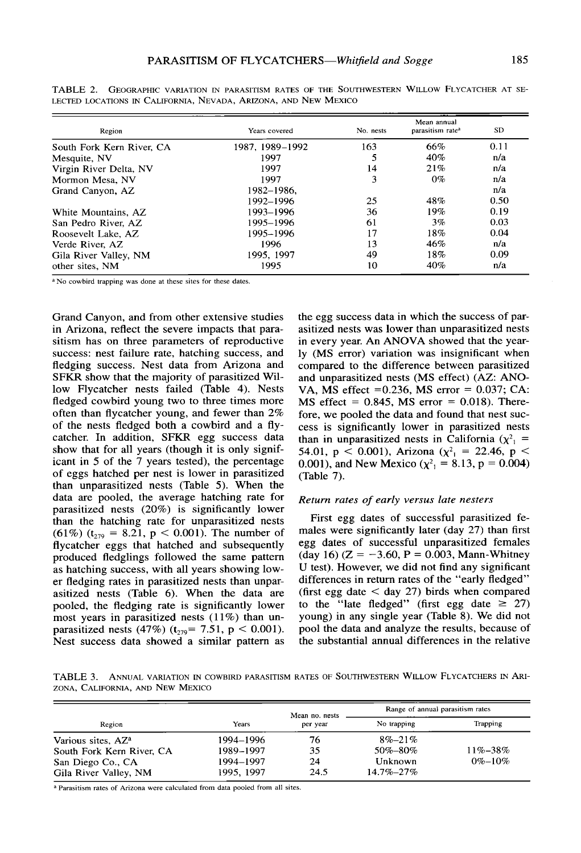| Region                    | Years covered   | No. nests | Mean annual<br>parasitism rate <sup>a</sup> | SD.  |
|---------------------------|-----------------|-----------|---------------------------------------------|------|
| South Fork Kern River, CA | 1987. 1989–1992 | 163       | 66%                                         | 0.11 |
| Mesquite, NV              | 1997            | 5         | 40%                                         | n/a  |
| Virgin River Delta, NV    | 1997            | 14        | 21%                                         | n/a  |
| Mormon Mesa, NV           | 1997            | 3         | $0\%$                                       | n/a  |
| Grand Canyon, AZ          | 1982–1986.      |           |                                             | n/a  |
|                           | 1992–1996       | 25        | 48%                                         | 0.50 |
| White Mountains, AZ       | 1993-1996       | 36        | 19%                                         | 0.19 |
| San Pedro River, AZ       | 1995-1996       | 61        | 3%                                          | 0.03 |
| Roosevelt Lake, AZ        | 1995–1996       | 17        | 18%                                         | 0.04 |
| Verde River, AZ           | 1996            | 13        | 46%                                         | n/a  |
| Gila River Valley, NM     | 1995, 1997      | 49        | 18%                                         | 0.09 |
| other sites, NM           | 1995            | 10        | 40%                                         | n/a  |

**TABLE 2. GEOGRAPHIC VARIATION IN PARASITISM RATES OF THE SOUTHWESTERN WILLOW FLYCATCHER AT SE-LECTED LOCATIONS IN CALIFORNIA, NEVADA, ARIZONA, AND NEW MEXICO** 

**a No cowbird trapping was done at these sites for these dates.** 

**Grand Canyon, and from other extensive studies in Arizona, reflect the severe impacts that parasitism has on three parameters of reproductive success: nest failure rate, hatching success, and fledging success. Nest data from Arizona and SFKR show that the majority of parasitized Willow Flycatcher nests failed (Table 4). Nests fledged cowbird young two to three times more often than flycatcher young, and fewer than 2% of the nests fledged both a cowbird and a flycatcher. In addition, SFKR egg success data show that for all years (though it is only significant in 5 of the 7 years tested), the percentage of eggs hatched per nest is lower in parasitized than unparasitized nests (Table 5). When the data are pooled, the average hatching rate for parasitized nests (20%) is significantly lower than the hatching rate for unparasitized nests**  (61%) ( $t_{279}$  = 8.21,  $p < 0.001$ ). The number of **flycatcher eggs that hatched and subsequently produced fledglings followed the same pattern as hatching success, with all years showing lower fledging rates in parasitized nests than unparasitized nests (Table 6). When the data are pooled, the fledging rate is significantly lower most years in parasitized nests (11%) than unparasitized nests (47%) (t<sub>779</sub> = 7.51, p < 0.001). Nest success data showed a similar pattern as**  **the egg success data in which the success of parasitized nests was lower than unparasitized nests in every year. An ANOVA showed that the yearly (MS error) variation was insignificant when compared to the difference between parasitized and unparasitized nests (MS effect) (AZ: ANO-VA, MS effect =0.236, MS error = 0.037; CA: MS effect = 0.845, MS error = 0.018). Therefore, we pooled the data and found that nest success is significantly lower in parasitized nests**  than in unparasitized nests in California  $(\chi^2)$  = 54.01,  $p < 0.001$ ), Arizona ( $\chi^2$ <sub>1</sub> = 22.46,  $p <$ 0.001), and New Mexico ( $\chi^2$ <sub>1</sub> = 8.13, p = 0.004) **(Table 7).** 

## **Return rates of early versus late nesters**

**First egg dates of successful parasitized females were significantly later (day 27) than first egg dates of successful unparasitized females (day 16) (Z = -3.60, P = 0.003, Mann-Whitney U test). However, we did not find any significant differences in return rates of the "early fledged" (first egg date < day 27) birds when compared**  to the "late fledged" (first egg date  $\geq$  27) **young) in any single year (Table 8). We did not pool the data and analyze the results, because of the substantial annual differences in the relative** 

**TABLE 3. ANNUAL VARIATION IN COWBIRD PARASITISM RATES OF SOUTHWESTERN WILLOW FLYCATCHERS IN ARI-ZONA, CALIFORNIA, AND NEW MEXICO** 

|                                |            | Mean no. nests | Range of annual parasitism rates |               |  |
|--------------------------------|------------|----------------|----------------------------------|---------------|--|
| Region                         | Years      | per year       | No trapping                      | Trapping      |  |
| Various sites, AZ <sup>a</sup> | 1994–1996  | 76             | $8\% - 21\%$                     |               |  |
| South Fork Kern River, CA      | 1989–1997  | 35             | 50%-80%                          | $11\% - 38\%$ |  |
| San Diego Co., CA              | 1994–1997  | 24             | Unknown                          | $0\% - 10\%$  |  |
| Gila River Valley, NM          | 1995, 1997 | 24.5           | $14.7\% - 27\%$                  |               |  |

**a Parasitism rafes of Arizona were calculated from data pooled from all sites.**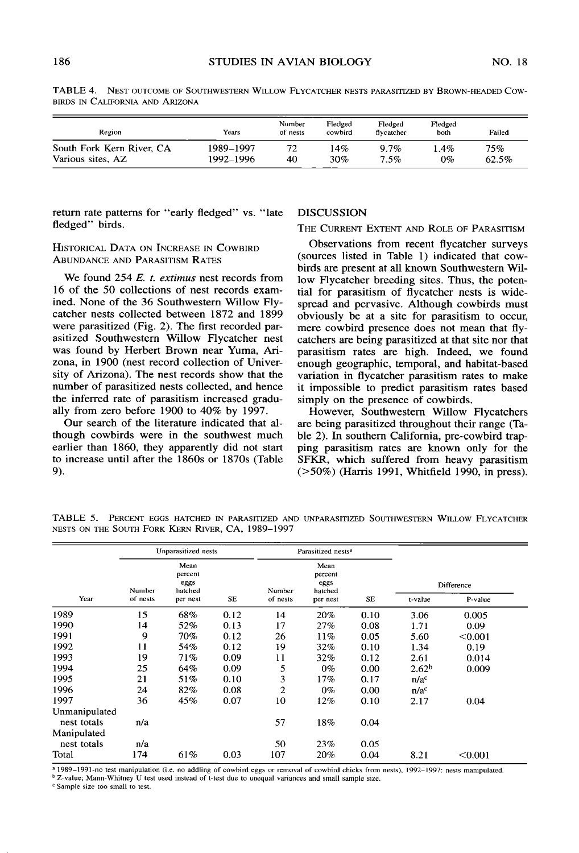| Region                                         | Years                  | Number<br>of nests | Fledged<br>cowbird | Fledged<br>flycatcher | Fledged<br>both | Failed       |
|------------------------------------------------|------------------------|--------------------|--------------------|-----------------------|-----------------|--------------|
| South Fork Kern River, CA<br>Various sites, AZ | 1989–1997<br>1992–1996 | 72<br>40           | 14%<br>30%         | $9.7\%$<br>7.5%       | $.4\%$<br>0%    | 75%<br>62.5% |

**TABLE 4. NEST OUTCOME OF SOUTHWESTERN WILLOW FLYCATCHER NESTS PARASITIZED BY BROWN-HEADED Cow-BIRDS IN CALIFORNIA AND ARIZONA** 

**return rate patterns for "early fledged" vs. "late fledged" birds.** 

# **HISTORICAL DATA ON INCREASE IN COWBIRD ABUNDANCE AND PARASITISM RATES**

**We found 254 E. t. extimus nest records from 16 of the 50 collections of nest records examined. None of the 36 Southwestern Willow Flycatcher nests collected between 1872 and 1899 were parasitized (Fig. 2). The first recorded parasitized Southwestern Willow Flycatcher nest was found by Herbert Brown near Yuma, Arizona, in 1900 (nest record collection of University of Arizona). The nest records show that the number of parasitized nests collected, and hence the inferred rate of parasitism increased gradually from zero before 1900 to 40% by 1997.** 

**Our search of the literature indicated that although cowbirds were in the southwest much earlier than 1860, they apparently did not start to increase until after the 1860s or 1870s (Table 9).** 

# **DISCUSSION**

#### **THE CURRENT EXTENT AND ROLE OF PARASITISM**

**Observations from recent flycatcher surveys (sources listed in Table 1) indicated that cowbirds are present at all known Southwestern Willow Flycatcher breeding sites. Thus, the potential for parasitism of flycatcher nests is widespread and pervasive. Although cowbirds must obviously be at a site for parasitism to occur, mere cowbird presence does not mean that flycatchers are being parasitized at that site nor that parasitism rates are high. Indeed, we found enough geographic, temporal, and habitat-based variation in flycatcher parasitism rates to make it impossible to predict parasitism rates based simply on the presence of cowbirds.** 

**However, Southwestern Willow Flycatchers are being parasitized throughout their range (Table 2). In southern California, pre-cowbird trapping parasitism rates are known only for the SFKR, which suffered from heavy parasitism (>50%) (Harris 1991, Whitfield 1990, in press).** 

**TABLE 5. PERCENT EGGS HATCHED IN PARASITIZED AND UNPARASITIZED SOUTHWESTERN WILLOW FLYCATCHER NESTS ON THE SOUTH FORK KERN RIVER, CA, 1989-1997** 

|                              |                    | Unparasitized nests                            |      |                    | Parasitized nests <sup>a</sup>                 |      |                   |                       |  |
|------------------------------|--------------------|------------------------------------------------|------|--------------------|------------------------------------------------|------|-------------------|-----------------------|--|
| Year                         | Number<br>of nests | Mean<br>percent<br>eggs<br>hatched<br>per nest | SЕ   | Number<br>of nests | Mean<br>percent<br>eggs<br>hatched<br>per nest | SE   | t-value           | Difference<br>P-value |  |
|                              |                    |                                                |      |                    |                                                |      |                   |                       |  |
| 1989                         | 15                 | 68%                                            | 0.12 | 14                 | 20%                                            | 0.10 | 3.06              | 0.005                 |  |
| 1990                         | 14                 | 52%                                            | 0.13 | 17                 | 27%                                            | 0.08 | 1.71              | 0.09                  |  |
| 1991                         | 9                  | 70%                                            | 0.12 | 26                 | 11%                                            | 0.05 | 5.60              | < 0.001               |  |
| 1992                         | 11                 | 54%                                            | 0.12 | 19                 | 32%                                            | 0.10 | 1.34              | 0.19                  |  |
| 1993                         | 19                 | 71%                                            | 0.09 | 11                 | 32%                                            | 0.12 | 2.61              | 0.014                 |  |
| 1994                         | 25                 | 64%                                            | 0.09 | 5                  | $0\%$                                          | 0.00 | 2.62 <sup>b</sup> | 0.009                 |  |
| 1995                         | 21                 | 51%                                            | 0.10 | 3                  | 17%                                            | 0.17 | n/a <sup>c</sup>  |                       |  |
| 1996                         | 24                 | 82%                                            | 0.08 | $\overline{2}$     | $0\%$                                          | 0.00 | n/a <sup>c</sup>  |                       |  |
| 1997                         | 36                 | 45%                                            | 0.07 | 10                 | 12%                                            | 0.10 | 2.17              | 0.04                  |  |
| Unmanipulated<br>nest totals | n/a                |                                                |      | 57                 | 18%                                            | 0.04 |                   |                       |  |
| Manipulated<br>nest totals   | n/a                |                                                |      | 50                 | 23%                                            | 0.05 |                   |                       |  |
| Total                        | 174                | 61%                                            | 0.03 | 107                | 20%                                            | 0.04 | 8.21              | < 0.001               |  |

a 1989-1991-no test manipulation (i.e. no addling of cowbird eggs or removal of cowbird chicks from nests), 1992-1997: nests manipulated.

<sup>b</sup> Z-value; Mann-Whitney U test used instead of t-test due to unequal variances and small sample size.

**c Sample size too small fo test.**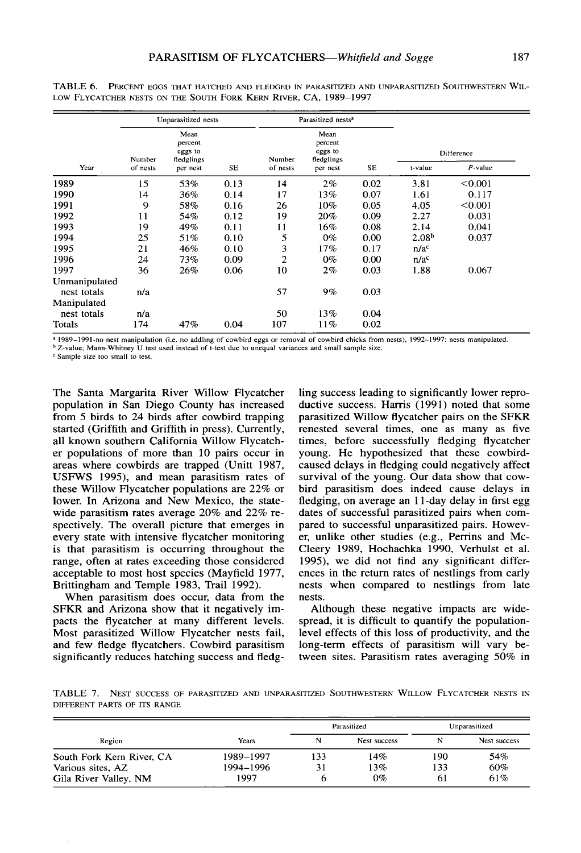|                              |                    | Unparasitized nests                                  |          |                    | Parasitized nests <sup>a</sup>                       |      |                   |                          |  |
|------------------------------|--------------------|------------------------------------------------------|----------|--------------------|------------------------------------------------------|------|-------------------|--------------------------|--|
| Year                         | Number<br>of nests | Mean<br>percent<br>eggs to<br>fledglings<br>per nest | $\rm SE$ | Number<br>of nests | Mean<br>percent<br>eggs to<br>fledglings<br>per nest | SE   | t-value           | Difference<br>$P$ -value |  |
| 1989                         | 15                 | 53%                                                  | 0.13     | 14                 | $2\%$                                                | 0.02 | 3.81              | < 0.001                  |  |
| 1990                         | 14                 | 36%                                                  | 0.14     | 17                 | 13%                                                  | 0.07 | 1.61              | 0.117                    |  |
| 1991                         | 9                  | 58%                                                  | 0.16     | 26                 | $10\%$                                               | 0.05 | 4.05              | < 0.001                  |  |
| 1992                         | 11                 | 54%                                                  | 0.12     | 19                 | 20%                                                  | 0.09 | 2.27              | 0.031                    |  |
| 1993                         | 19                 | 49%                                                  | 0.11     | 11                 | 16%                                                  | 0.08 | 2.14              | 0.041                    |  |
| 1994                         | 25                 | 51%                                                  | 0.10     | 5                  | $0\%$                                                | 0.00 | 2.08 <sup>b</sup> | 0.037                    |  |
| 1995                         | 21                 | 46%                                                  | 0.10     | 3                  | 17%                                                  | 0.17 | n/a <sup>c</sup>  |                          |  |
| 1996                         | 24                 | 73%                                                  | 0.09     | $\overline{2}$     | $0\%$                                                | 0.00 | n/a <sup>c</sup>  |                          |  |
| 1997                         | 36                 | 26%                                                  | 0.06     | 10                 | $2\%$                                                | 0.03 | 1.88              | 0.067                    |  |
| Unmanipulated<br>nest totals | n/a                |                                                      |          | 57                 | 9%                                                   | 0.03 |                   |                          |  |
| Manipulated<br>nest totals   | n/a                |                                                      |          | 50                 | 13%                                                  | 0.04 |                   |                          |  |
| Totals                       | 174                | 47%                                                  | 0.04     | 107                | 11%                                                  | 0.02 |                   |                          |  |

**TABLE 6. PERCENT EGGS THAT HATCHED AND FLEDGED IN PARASITIZED AND UNPARASITIZED SOUTHWESTERN WIL-LOW FLYCATCHER NESTS ON THE SOUTH FORK KERN RIVER, CA, 1989-1997** 

<sup>a</sup> 1989–1991-no nest manipulation (i.e. no addling of cowbird eggs or removal of cowbird chicks from nests), 1992–1997; nests manipulated.

**b Z-value; Mann-Whitney U test used instead of t-test due to unequal variances and small sample size.** 

<sup>c</sup> Sample size too small to test.

**The Santa Margarita River Willow Flycatcher population in San Diego County has increased from 5 birds to 24 birds after cowbird trapping started (Griffith and Griffith in press). Currently, all known southern California Willow Flycatcher populations of more than 10 pairs occur in areas where cowbirds are trapped (Unitt 1987, USFWS 1995), and mean parasitism rates of these Willow Flycatcher populations are 22% or lower. In Arizona and New Mexico, the statewide parasitism rates average 20% and 22% respectively. The overall picture that emerges in every state with intensive flycatcher monitoring is that parasitism is occurring throughout the range, often at rates exceeding those considered acceptable to most host species (Mayfield 1977, Brittingham and Temple 1983, Trail 1992).** 

**When parasitism does occur, data from the SFKR and Arizona show that it negatively impacts the flycatcher at many different levels. Most parasitized Willow Flycatcher nests fail, and few fledge flycatchers. Cowbird parasitism significantly reduces hatching success and fledg-** **ling success leading to significantly lower reproductive success. Harris (1991) noted that some parasitized Willow flycatcher pairs on the SFKR renested several times, one as many as five times, before successfully fledging flycatcher young. He hypothesized that these cowbirdcaused delays in fledging could negatively affect survival of the young. Our data show that cowbird parasitism does indeed cause delays in fledging, on average an 1 l-day delay in first egg dates of successful parasitized pairs when compared to successful unparasitized pairs. However, unlike other studies (e.g., Perrins and Mc-Cleery 1989, Hochachka 1990, Verhulst et al. 1995), we did not find any significant differences in the return rates of nestlings from early nests when compared to nestlings from late nests.** 

**Although these negative impacts are widespread, it is difficult to quantify the populationlevel effects of this loss of productivity, and the long-term effects of parasitism will vary between sites. Parasitism rates averaging 50% in** 

**TABLE 7. NEST SUCCESS OF PARASITIZED AND UNPARASITUED SOUTHWESTERN WILLOW FLYCATCHER NESTS IN DIFFERENT PARTS OF ITS RANGE** 

|                           |           |     | Parasitized  |     | Unparasitized |
|---------------------------|-----------|-----|--------------|-----|---------------|
| Region                    | Years     | N   | Nest success | N   | Nest success  |
| South Fork Kern River, CA | 1989–1997 | 133 | 14%          | 190 | 54%           |
| Various sites, AZ         | 1994–1996 | 31  | 13%          | 133 | 60%           |
| Gila River Valley, NM     | 1997      | o   | 0%           | 61  | 61%           |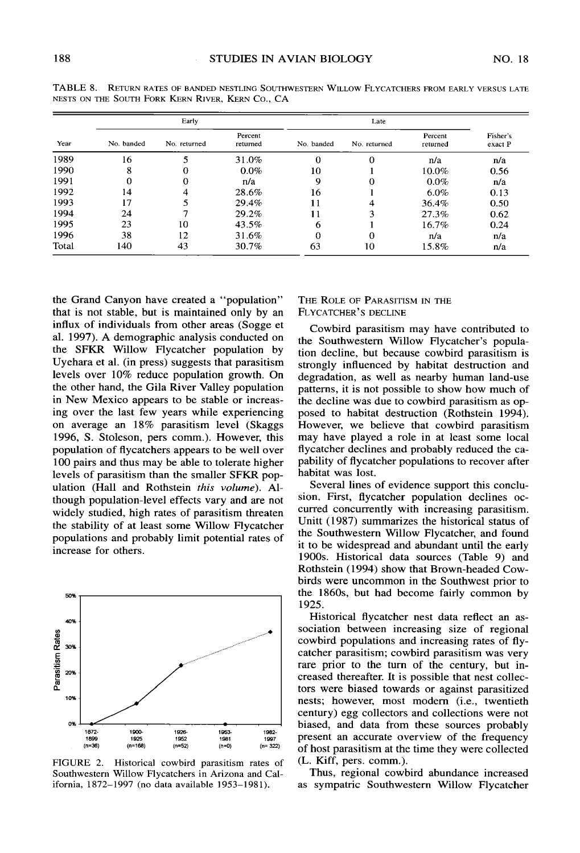|       |            | Early        |                     |            |              |                     |                     |
|-------|------------|--------------|---------------------|------------|--------------|---------------------|---------------------|
| Year  | No. banded | No. returned | Percent<br>returned | No. banded | No. returned | Percent<br>returned | Fisher's<br>exact P |
| 1989  | 16         |              | 31.0%               | 0          | 0            | n/a                 | n/a                 |
| 1990  | 8          | 0            | $0.0\%$             | 10         |              | $10.0\%$            | 0.56                |
| 1991  | 0          | 0            | n/a                 | 9          | 0            | $0.0\%$             | n/a                 |
| 1992  | 14         | 4            | 28.6%               | 16         |              | $6.0\%$             | 0.13                |
| 1993  | 17         |              | 29.4%               | 11         |              | 36.4%               | 0.50                |
| 1994  | 24         |              | 29.2%               | 11         | 3            | 27.3%               | 0.62                |
| 1995  | 23         | 10           | 43.5%               | 6          |              | 16.7%               | 0.24                |
| 1996  | 38         | 12           | 31.6%               | 0          | 0            | n/a                 | n/a                 |
| Total | 140        | 43           | 30.7%               | 63         | 10           | 15.8%               | n/a                 |

TABLE 8. RETURN RATES OF BANDED NESTLING SOUTHWESTERN WILLOW FLYCATCHERS FROM EARLY VERSUS LATE NESTS ON THE SOUTH FORK KERN RIVER, KERN CO., CA

**the Grand Canyon have created a "population" that is not stable, but is maintained only by an influx of individuals from other areas (Sogge et al. 1997). A demographic analysis conducted on the SFKR Willow Flycatcher population by Uyehara et al. (in press) suggests that parasitism levels over 10% reduce population growth. On the other hand, the Gila River Valley population in New Mexico appears to be stable or increasing over the last few years while experiencing on average an 18% parasitism level (Skaggs 1996, S. Stoleson, pers comm.). However, this population of flycatchers appears to be well over 100 pairs and thus may be able to tolerate higher levels of parasitism than the smaller SFKR population (Hall and Rothstein this volume). Although population-level effects vary and are not widely studied, high rates of parasitism threaten the stability of at least some Willow Flycatcher populations and probably limit potential rates of increase for others.** 



**FIGURE 2. Historical cowbird parasitism rates of Southwestern Willow Flycatchers in Arizona and California, 1872-1997 (no data available 1953-1981).** 

## **THE ROLE OF PARASITISM IN THE FLYCATCHER'S DECLINE**

**Cowbird parasitism may have contributed to**  the Southwestern Willow Flycatcher's popula**tion decline, but because cowbird parasitism is strongly influenced by habitat destruction and degradation, as well as nearby human land-use patterns, it is not possible to show how much of the decline was due to cowbird parasitism as opposed to habitat destruction (Rothstein 1994). However, we believe that cowbird parasitism may have played a role in at least some local flycatcher declines and probably reduced the capability of flycatcher populations to recover after habitat was lost.** 

**Several lines of evidence support this conclusion. First, flycatcher population declines occurred concurrently with increasing parasitism. Unitt (1987) summarizes the historical status of the Southwestern Willow Flycatcher, and found it to be widespread and abundant until the early 1900s. Historical data sources (Table 9) and Rothstein (1994) show that Brown-headed Cowbirds were uncommon in the Southwest prior to the 186Os, but had become fairly common by 1925.** 

**Historical flycatcher nest data reflect an association between increasing size of regional cowbird populations and increasing rates of flycatcher parasitism; cowbird parasitism was very rare prior to the turn of the century, but increased thereafter. It is possible that nest collectors were biased towards or against parasitized nests; however, most modem (i.e., twentieth century) egg collectors and collections were not biased, and data from these sources probably present an accurate overview of the frequency of host parasitism at the time they were collected (L. Kiff, pers. comm.).** 

**Thus, regional cowbird abundance increased as sympatric Southwestern Willow Flycatcher**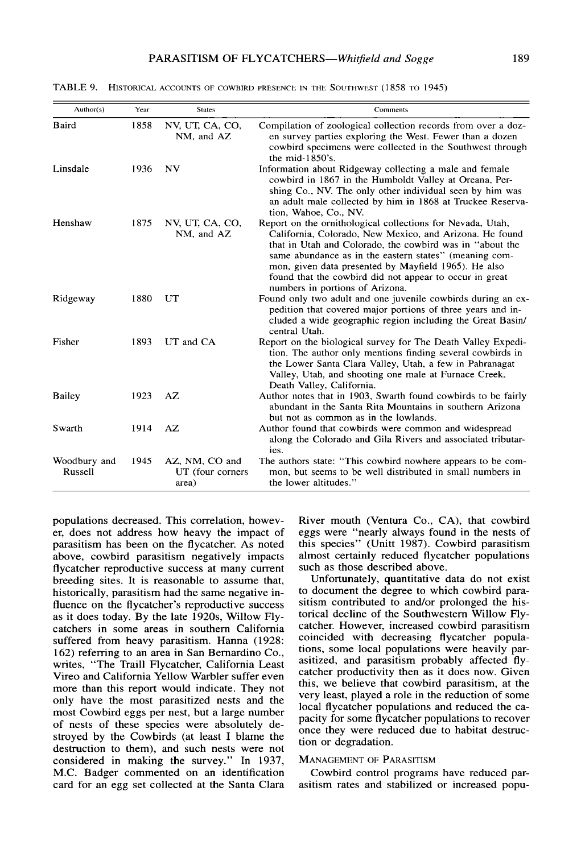| Author(s)               | Year | <b>States</b>                               | Comments                                                                                                                                                                                                                                                                                                                                                                                          |
|-------------------------|------|---------------------------------------------|---------------------------------------------------------------------------------------------------------------------------------------------------------------------------------------------------------------------------------------------------------------------------------------------------------------------------------------------------------------------------------------------------|
| Baird                   | 1858 | NV, UT, CA, CO,<br>NM, and AZ               | Compilation of zoological collection records from over a doz-<br>en survey parties exploring the West. Fewer than a dozen<br>cowbird specimens were collected in the Southwest through<br>the mid- $1850$ 's.                                                                                                                                                                                     |
| Linsdale                | 1936 | <b>NV</b>                                   | Information about Ridgeway collecting a male and female<br>cowbird in 1867 in the Humboldt Valley at Oreana, Per-<br>shing Co., NV. The only other individual seen by him was<br>an adult male collected by him in 1868 at Truckee Reserva-<br>tion, Wahoe, Co., NV.                                                                                                                              |
| Henshaw                 | 1875 | NV, UT, CA, CO,<br>NM, and AZ               | Report on the ornithological collections for Nevada, Utah,<br>California, Colorado, New Mexico, and Arizona. He found<br>that in Utah and Colorado, the cowbird was in "about the<br>same abundance as in the eastern states" (meaning com-<br>mon, given data presented by Mayfield 1965). He also<br>found that the cowbird did not appear to occur in great<br>numbers in portions of Arizona. |
| Ridgeway                | 1880 | UT                                          | Found only two adult and one juvenile cowbirds during an ex-<br>pedition that covered major portions of three years and in-<br>cluded a wide geographic region including the Great Basin/<br>central Utah.                                                                                                                                                                                        |
| Fisher                  | 1893 | UT and CA                                   | Report on the biological survey for The Death Valley Expedi-<br>tion. The author only mentions finding several cowbirds in<br>the Lower Santa Clara Valley, Utah, a few in Pahranagat<br>Valley, Utah, and shooting one male at Furnace Creek,<br>Death Valley, California.                                                                                                                       |
| Bailey                  | 1923 | AZ                                          | Author notes that in 1903, Swarth found cowbirds to be fairly<br>abundant in the Santa Rita Mountains in southern Arizona<br>but not as common as in the lowlands.                                                                                                                                                                                                                                |
| Swarth                  | 1914 | AZ                                          | Author found that cowbirds were common and widespread<br>along the Colorado and Gila Rivers and associated tributar-<br>ies.                                                                                                                                                                                                                                                                      |
| Woodbury and<br>Russell | 1945 | AZ, NM, CO and<br>UT (four corners<br>area) | The authors state: "This cowbird nowhere appears to be com-<br>mon, but seems to be well distributed in small numbers in<br>the lower altitudes."                                                                                                                                                                                                                                                 |

TABLE 9. HISTORICAL ACCOUNTS OF COWBIRD PRESENCE IN THE SOUTHWEST (1858 TO 1945)

**populations decreased. This correlation, however, does not address how heavy the impact of parasitism has been on the flycatcher. As noted above, cowbird parasitism negatively impacts flycatcher reproductive success at many current breeding sites. It is reasonable to assume that, historically, parasitism had the same negative in**fluence on the flycatcher's reproductive success **as it does today. By the late 192Os, Willow Flycatchers in some areas in southern California suffered from heavy parasitism. Hanna (1928: 162) referring to an area in San Bernardino Co., writes, "The Trail1 Flycatcher, California Least Vireo and California Yellow Warbler suffer even more than this report would indicate. They not only have the most parasitized nests and the most Cowbird eggs per nest, but a large number of nests of these species were absolutely destroyed by the Cowbirds (at least I blame the destruction to them), and such nests were not considered in making the survey." In 1937, M.C. Badger commented on an identification card for an egg set collected at the Santa Clara**  **River mouth (Ventura Co., CA), that cowbird eggs were "nearly always found in the nests of this species" (Unitt 1987). Cowbird parasitism almost certainly reduced flycatcher populations such as those described above.** 

**Unfortunately, quantitative data do not exist to document the degree to which cowbird parasitism contributed to and/or prolonged the historical decline of the Southwestern Willow Flycatcher. However, increased cowbird parasitism coincided with decreasing flycatcher populations, some local populations were heavily parasitized, and parasitism probably affected flycatcher productivity then as it does now. Given this, we believe that cowbird parasitism, at the very least, played a role in the reduction of some local flycatcher populations and reduced the capacity for some flycatcher populations to recover once they were reduced due to habitat destruction or degradation.** 

#### **MANAGEMENT OF PARASITISM**

**Cowbird control programs have reduced parasitism rates and stabilized or increased popu-**